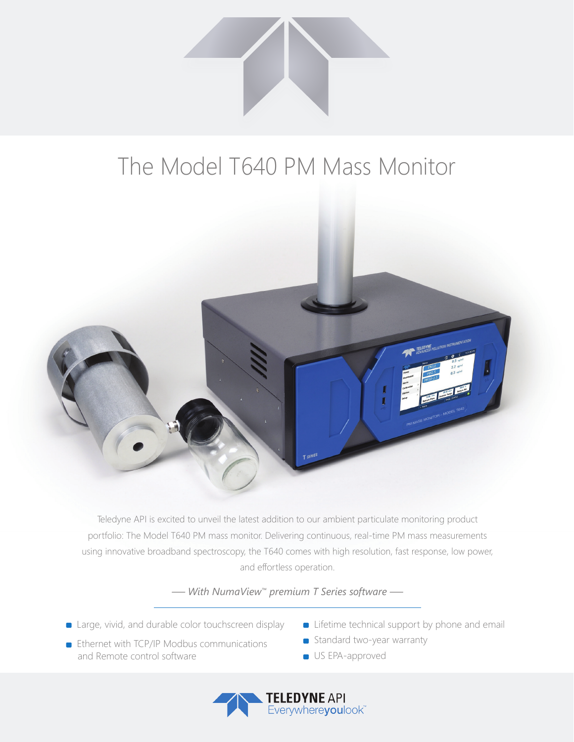

## The Model T640 PM Mass Monitor



Teledyne API is excited to unveil the latest addition to our ambient particulate monitoring product portfolio: The Model T640 PM mass monitor. Delivering continuous, real-time PM mass measurements using innovative broadband spectroscopy, the T640 comes with high resolution, fast response, low power, and effortless operation.

*— With NumaView™ premium T Series software —*

- **Example 2** Large, vivid, and durable color touchscreen display
- **Ethernet with TCP/IP Modbus communications** and Remote control software
- **Example 1** Lifetime technical support by phone and email
- Standard two-year warranty
- **US EPA-approved**